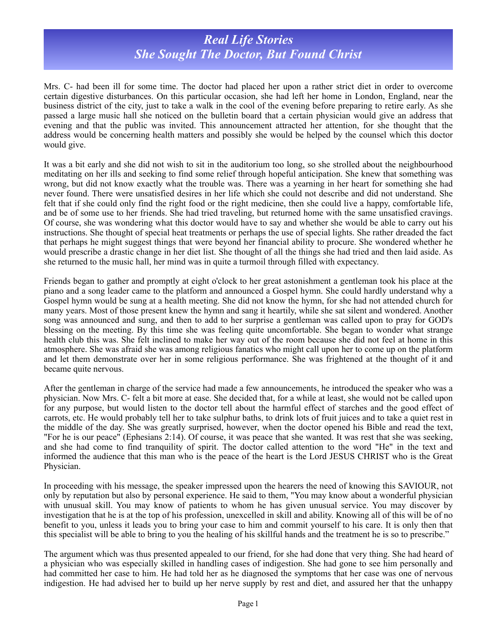## *Real Life Stories She Sought The Doctor, But Found Christ*

Mrs. C- had been ill for some time. The doctor had placed her upon a rather strict diet in order to overcome certain digestive disturbances. On this particular occasion, she had left her home in London, England, near the business district of the city, just to take a walk in the cool of the evening before preparing to retire early. As she passed a large music hall she noticed on the bulletin board that a certain physician would give an address that evening and that the public was invited. This announcement attracted her attention, for she thought that the address would be concerning health matters and possibly she would be helped by the counsel which this doctor would give.

It was a bit early and she did not wish to sit in the auditorium too long, so she strolled about the neighbourhood meditating on her ills and seeking to find some relief through hopeful anticipation. She knew that something was wrong, but did not know exactly what the trouble was. There was a yearning in her heart for something she had never found. There were unsatisfied desires in her life which she could not describe and did not understand. She felt that if she could only find the right food or the right medicine, then she could live a happy, comfortable life, and be of some use to her friends. She had tried traveling, but returned home with the same unsatisfied cravings. Of course, she was wondering what this doctor would have to say and whether she would be able to carry out his instructions. She thought of special heat treatments or perhaps the use of special lights. She rather dreaded the fact that perhaps he might suggest things that were beyond her financial ability to procure. She wondered whether he would prescribe a drastic change in her diet list. She thought of all the things she had tried and then laid aside. As she returned to the music hall, her mind was in quite a turmoil through filled with expectancy.

Friends began to gather and promptly at eight o'clock to her great astonishment a gentleman took his place at the piano and a song leader came to the platform and announced a Gospel hymn. She could hardly understand why a Gospel hymn would be sung at a health meeting. She did not know the hymn, for she had not attended church for many years. Most of those present knew the hymn and sang it heartily, while she sat silent and wondered. Another song was announced and sung, and then to add to her surprise a gentleman was called upon to pray for GOD's blessing on the meeting. By this time she was feeling quite uncomfortable. She began to wonder what strange health club this was. She felt inclined to make her way out of the room because she did not feel at home in this atmosphere. She was afraid she was among religious fanatics who might call upon her to come up on the platform and let them demonstrate over her in some religious performance. She was frightened at the thought of it and became quite nervous.

After the gentleman in charge of the service had made a few announcements, he introduced the speaker who was a physician. Now Mrs. C- felt a bit more at ease. She decided that, for a while at least, she would not be called upon for any purpose, but would listen to the doctor tell about the harmful effect of starches and the good effect of carrots, etc. He would probably tell her to take sulphur baths, to drink lots of fruit juices and to take a quiet rest in the middle of the day. She was greatly surprised, however, when the doctor opened his Bible and read the text, "For he is our peace" (Ephesians 2:14). Of course, it was peace that she wanted. It was rest that she was seeking, and she had come to find tranquility of spirit. The doctor called attention to the word "He" in the text and informed the audience that this man who is the peace of the heart is the Lord JESUS CHRIST who is the Great Physician.

In proceeding with his message, the speaker impressed upon the hearers the need of knowing this SAVIOUR, not only by reputation but also by personal experience. He said to them, "You may know about a wonderful physician with unusual skill. You may know of patients to whom he has given unusual service. You may discover by investigation that he is at the top of his profession, unexcelled in skill and ability. Knowing all of this will be of no benefit to you, unless it leads you to bring your case to him and commit yourself to his care. It is only then that this specialist will be able to bring to you the healing of his skillful hands and the treatment he is so to prescribe."

The argument which was thus presented appealed to our friend, for she had done that very thing. She had heard of a physician who was especially skilled in handling cases of indigestion. She had gone to see him personally and had committed her case to him. He had told her as he diagnosed the symptoms that her case was one of nervous indigestion. He had advised her to build up her nerve supply by rest and diet, and assured her that the unhappy